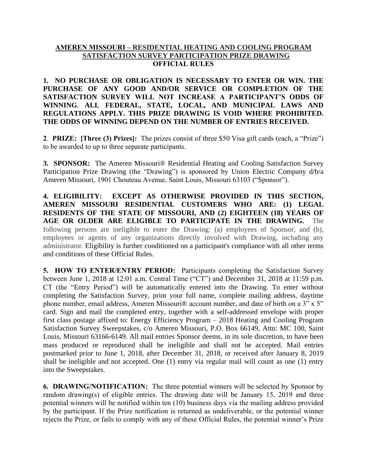## **AMEREN MISSOURI – RESIDENTIAL HEATING AND COOLING PROGRAM SATISFACTION SURVEY PARTICIPATION PRIZE DRAWING OFFICIAL RULES**

**1. NO PURCHASE OR OBLIGATION IS NECESSARY TO ENTER OR WIN. THE PURCHASE OF ANY GOOD AND/OR SERVICE OR COMPLETION OF THE SATISFACTION SURVEY WILL NOT INCREASE A PARTICIPANT'S ODDS OF WINNING**. **ALL FEDERAL, STATE, LOCAL, AND MUNICIPAL LAWS AND REGULATIONS APPLY. THIS PRIZE DRAWING IS VOID WHERE PROHIBITED. THE ODDS OF WINNING DEPEND ON THE NUMBER OF ENTRIES RECEIVED.**

**2**. **PRIZE: [Three (3) Prizes]:** The prizes consist of three \$50 Visa gift cards (each, a "Prize") to be awarded to up to three separate participants.

**3. SPONSOR:** The Ameren Missouri® Residential Heating and Cooling Satisfaction Survey Participation Prize Drawing (the "Drawing") is sponsored by Union Electric Company d/b/a Ameren Missouri, 1901 Chouteau Avenue, Saint Louis, Missouri 63103 ("Sponsor").

**4. ELIGIBILITY: EXCEPT AS OTHERWISE PROVIDED IN THIS SECTION, AMEREN MISSOURI RESIDENTIAL CUSTOMERS WHO ARE: (1) LEGAL RESIDENTS OF THE STATE OF MISSOURI, AND (2) EIGHTEEN (18) YEARS OF AGE OR OLDER ARE ELIGIBLE TO PARTICIPATE IN THE DRAWING.** The following persons are ineligible to enter the Drawing: (a) employees of Sponsor, and (b), employees or agents of any organizations directly involved with Drawing, including any administrator. Eligibility is further conditioned on a participant's compliance with all other terms and conditions of these Official Rules.

**5. HOW TO ENTER/ENTRY PERIOD:** Participants completing the Satisfaction Survey between June 1, 2018 at 12:01 a.m. Central Time ("CT") and December 31, 2018 at 11:59 p.m. CT (the "Entry Period") will be automatically entered into the Drawing. To enter without completing the Satisfaction Survey, print your full name, complete mailing address, daytime phone number, email address, Ameren Missouri® account number, and date of birth on a 3" x 5" card. Sign and mail the completed entry, together with a self-addressed envelope with proper first class postage affixed to: Energy Efficiency Program – 2018 Heating and Cooling Program Satisfaction Survey Sweepstakes, c/o Ameren Missouri, P.O. Box 66149, Attn: MC 100, Saint Louis, Missouri 63166-6149. All mail entries Sponsor deems, in its sole discretion, to have been mass produced or reproduced shall be ineligible and shall not be accepted. Mail entries postmarked prior to June 1, 2018, after December 31, 2018, or received after January 8, 2019 shall be ineligible and not accepted. One (1) entry via regular mail will count as one (1) entry into the Sweepstakes.

**6. DRAWING/NOTIFICATION:** The three potential winners will be selected by Sponsor by random drawing(s) of eligible entries. The drawing date will be January 15, 2019 and three potential winners will be notified within ten (10) business days via the mailing address provided by the participant. If the Prize notification is returned as undeliverable, or the potential winner rejects the Prize, or fails to comply with any of these Official Rules, the potential winner's Prize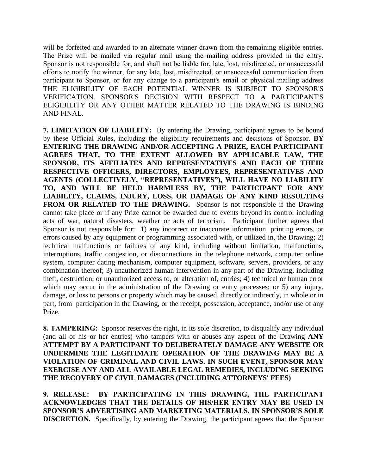will be forfeited and awarded to an alternate winner drawn from the remaining eligible entries. The Prize will be mailed via regular mail using the mailing address provided in the entry. Sponsor is not responsible for, and shall not be liable for, late, lost, misdirected, or unsuccessful efforts to notify the winner, for any late, lost, misdirected, or unsuccessful communication from participant to Sponsor, or for any change to a participant's email or physical mailing address THE ELIGIBILITY OF EACH POTENTIAL WINNER IS SUBJECT TO SPONSOR'S VERIFICATION. SPONSOR'S DECISION WITH RESPECT TO A PARTICIPANT'S ELIGIBILITY OR ANY OTHER MATTER RELATED TO THE DRAWING IS BINDING AND FINAL.

**7. LIMITATION OF LIABILITY:** By entering the Drawing, participant agrees to be bound by these Official Rules, including the eligibility requirements and decisions of Sponsor. **BY ENTERING THE DRAWING AND/OR ACCEPTING A PRIZE, EACH PARTICIPANT AGREES THAT, TO THE EXTENT ALLOWED BY APPLICABLE LAW, THE SPONSOR, ITS AFFILIATES AND REPRESENTATIVES AND EACH OF THEIR RESPECTIVE OFFICERS, DIRECTORS, EMPLOYEES, REPRESENTATIVES AND AGENTS (COLLECTIVELY, "REPRESENTATIVES"), WILL HAVE NO LIABILITY TO, AND WILL BE HELD HARMLESS BY, THE PARTICIPANT FOR ANY LIABILITY, CLAIMS, INJURY, LOSS, OR DAMAGE OF ANY KIND RESULTING FROM OR RELATED TO THE DRAWING.** Sponsor is not responsible if the Drawing cannot take place or if any Prize cannot be awarded due to events beyond its control including acts of war, natural disasters, weather or acts of terrorism. Participant further agrees that Sponsor is not responsible for: 1) any incorrect or inaccurate information, printing errors, or errors caused by any equipment or programming associated with, or utilized in, the Drawing; 2) technical malfunctions or failures of any kind, including without limitation, malfunctions, interruptions, traffic congestion, or disconnections in the telephone network, computer online system, computer dating mechanism, computer equipment, software, servers, providers, or any combination thereof; 3) unauthorized human intervention in any part of the Drawing, including theft, destruction, or unauthorized access to, or alteration of, entries; 4) technical or human error which may occur in the administration of the Drawing or entry processes; or 5) any injury, damage, or loss to persons or property which may be caused, directly or indirectly, in whole or in part, from participation in the Drawing, or the receipt, possession, acceptance, and/or use of any Prize.

**8. TAMPERING:** Sponsor reserves the right, in its sole discretion, to disqualify any individual (and all of his or her entries) who tampers with or abuses any aspect of the Drawing **ANY ATTEMPT BY A PARTICIPANT TO DELIBERATELY DAMAGE ANY WEBSITE OR UNDERMINE THE LEGITIMATE OPERATION OF THE DRAWING MAY BE A VIOLATION OF CRIMINAL AND CIVIL LAWS. IN SUCH EVENT, SPONSOR MAY EXERCISE ANY AND ALL AVAILABLE LEGAL REMEDIES, INCLUDING SEEKING THE RECOVERY OF CIVIL DAMAGES (INCLUDING ATTORNEYS' FEES)** 

**9. RELEASE: BY PARTICIPATING IN THIS DRAWING, THE PARTICIPANT ACKNOWLEDGES THAT THE DETAILS OF HIS/HER ENTRY MAY BE USED IN SPONSOR'S ADVERTISING AND MARKETING MATERIALS, IN SPONSOR'S SOLE DISCRETION.** Specifically, by entering the Drawing, the participant agrees that the Sponsor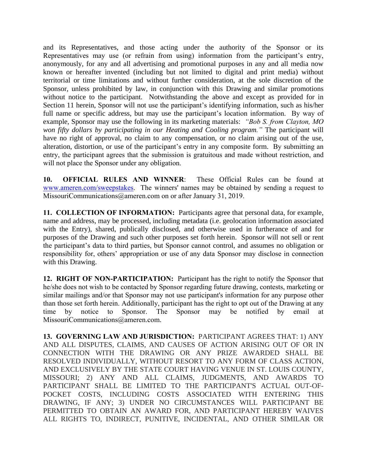and its Representatives, and those acting under the authority of the Sponsor or its Representatives may use (or refrain from using) information from the participant's entry, anonymously, for any and all advertising and promotional purposes in any and all media now known or hereafter invented (including but not limited to digital and print media) without territorial or time limitations and without further consideration, at the sole discretion of the Sponsor, unless prohibited by law, in conjunction with this Drawing and similar promotions without notice to the participant. Notwithstanding the above and except as provided for in Section 11 herein, Sponsor will not use the participant's identifying information, such as his/her full name or specific address, but may use the participant's location information. By way of example, Sponsor may use the following in its marketing materials: *"Bob S. from Clayton, MO won fifty dollars by participating in our Heating and Cooling program."* The participant will have no right of approval, no claim to any compensation, or no claim arising out of the use, alteration, distortion, or use of the participant's entry in any composite form. By submitting an entry, the participant agrees that the submission is gratuitous and made without restriction, and will not place the Sponsor under any obligation.

**10. OFFICIAL RULES AND WINNER**: These Official Rules can be found at [www.ameren.com/sweepstakes.](http://www.ameren.com/sweepstakes) The winners' names may be obtained by sending a request to MissouriCommunications@ameren.com on or after January 31, 2019.

**11. COLLECTION OF INFORMATION:** Participants agree that personal data, for example, name and address, may be processed, including metadata (i.e. geolocation information associated with the Entry), shared, publically disclosed, and otherwise used in furtherance of and for purposes of the Drawing and such other purposes set forth herein. Sponsor will not sell or rent the participant's data to third parties, but Sponsor cannot control, and assumes no obligation or responsibility for, others' appropriation or use of any data Sponsor may disclose in connection with this Drawing.

**12. RIGHT OF NON-PARTICIPATION:** Participant has the right to notify the Sponsor that he/she does not wish to be contacted by Sponsor regarding future drawing, contests, marketing or similar mailings and/or that Sponsor may not use participant's information for any purpose other than those set forth herein. Additionally, participant has the right to opt out of the Drawing at any time by notice to Sponsor. The Sponsor may be notified by email at MissouriCommunications@ameren.com.

**13. GOVERNING LAW AND JURISDICTION:** PARTICIPANT AGREES THAT: 1) ANY AND ALL DISPUTES, CLAIMS, AND CAUSES OF ACTION ARISING OUT OF OR IN CONNECTION WITH THE DRAWING OR ANY PRIZE AWARDED SHALL BE RESOLVED INDIVIDUALLY, WITHOUT RESORT TO ANY FORM OF CLASS ACTION, AND EXCLUSIVELY BY THE STATE COURT HAVING VENUE IN ST. LOUIS COUNTY, MISSOURI; 2) ANY AND ALL CLAIMS, JUDGMENTS, AND AWARDS TO PARTICIPANT SHALL BE LIMITED TO THE PARTICIPANT'S ACTUAL OUT-OF-POCKET COSTS, INCLUDING COSTS ASSOCIATED WITH ENTERING THIS DRAWING, IF ANY; 3) UNDER NO CIRCUMSTANCES WILL PARTICIPANT BE PERMITTED TO OBTAIN AN AWARD FOR, AND PARTICIPANT HEREBY WAIVES ALL RIGHTS TO, INDIRECT, PUNITIVE, INCIDENTAL, AND OTHER SIMILAR OR